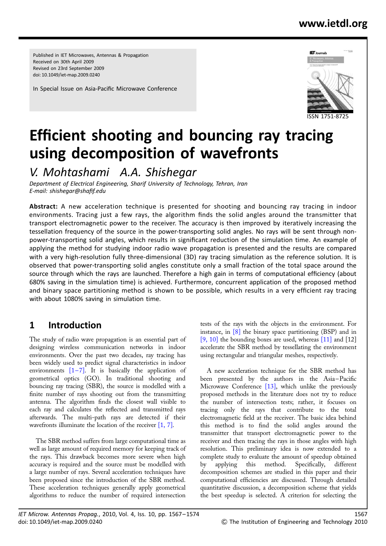# www.ietdl.org

Published in IET Microwaves, Antennas & Propagation Received on 30th April 2009 Revised on 23rd September 2009 doi: 10.1049/iet-map.2009.0240

In Special Issue on Asia-Pacific Microwave Conference



# Efficient shooting and bouncing ray tracing using decomposition of wavefronts

V. Mohtashami A.A. Shishegar

Department of Electrical Engineering, Sharif University of Technology, Tehran, Iran E-mail: shishegar@shafif.edu

Abstract: A new acceleration technique is presented for shooting and bouncing ray tracing in indoor environments. Tracing just a few rays, the algorithm finds the solid angles around the transmitter that transport electromagnetic power to the receiver. The accuracy is then improved by iteratively increasing the tessellation frequency of the source in the power-transporting solid angles. No rays will be sent through nonpower-transporting solid angles, which results in significant reduction of the simulation time. An example of applying the method for studying indoor radio wave propagation is presented and the results are compared with a very high-resolution fully three-dimensional (3D) ray tracing simulation as the reference solution. It is observed that power-transporting solid angles constitute only a small fraction of the total space around the source through which the rays are launched. Therefore a high gain in terms of computational efficiency (about 680% saving in the simulation time) is achieved. Furthermore, concurrent application of the proposed method and binary space partitioning method is shown to be possible, which results in a very efficient ray tracing with about 1080% saving in simulation time.

### 1 Introduction

The study of radio wave propagation is an essential part of designing wireless communication networks in indoor environments. Over the past two decades, ray tracing has been widely used to predict signal characteristics in indoor environments  $[1-7]$ . It is basically the application of geometrical optics (GO). In traditional shooting and bouncing ray tracing (SBR), the source is modelled with a finite number of rays shooting out from the transmitting antenna. The algorithm finds the closest wall visible to each ray and calculates the reflected and transmitted rays afterwards. The multi-path rays are detected if their wavefronts illuminate the location of the receiver [1, 7].

The SBR method suffers from large computational time as well as large amount of required memory for keeping track of the rays. This drawback becomes more severe when high accuracy is required and the source must be modelled with a large number of rays. Several acceleration techniques have been proposed since the introduction of the SBR method. These acceleration techniques generally apply geometrical algorithms to reduce the number of required intersection

tests of the rays with the objects in the environment. For instance, in [8] the binary space partitioning (BSP) and in [9, 10] the bounding boxes are used, whereas [11] and [12] accelerate the SBR method by tessellating the environment using rectangular and triangular meshes, respectively.

A new acceleration technique for the SBR method has been presented by the authors in the Asia-Pacific Microwave Conference [13], which unlike the previously proposed methods in the literature does not try to reduce the number of intersection tests; rather, it focuses on tracing only the rays that contribute to the total electromagnetic field at the receiver. The basic idea behind this method is to find the solid angles around the transmitter that transport electromagnetic power to the receiver and then tracing the rays in those angles with high resolution. This preliminary idea is now extended to a complete study to evaluate the amount of speedup obtained by applying this method. Specifically, different decomposition schemes are studied in this paper and their computational efficiencies are discussed. Through detailed quantitative discussion, a decomposition scheme that yields the best speedup is selected. A criterion for selecting the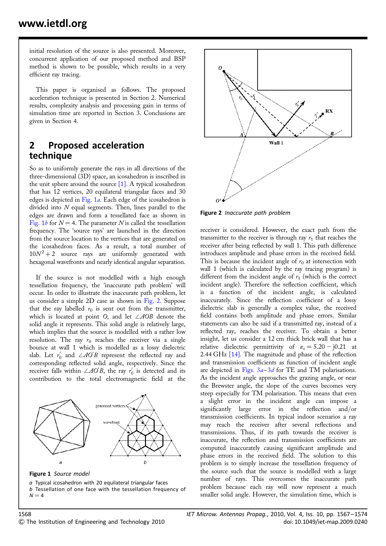initial resolution of the source is also presented. Moreover, concurrent application of our proposed method and BSP method is shown to be possible, which results in a very efficient ray tracing.

This paper is organised as follows. The proposed acceleration technique is presented in Section 2. Numerical results, complexity analysis and processing gain in terms of simulation time are reported in Section 3. Conclusions are given in Section 4.

#### 2 Proposed acceleration technique

So as to uniformly generate the rays in all directions of the three-dimensional (3D) space, an icosahedron is inscribed in the unit sphere around the source  $[1]$ . A typical icosahedron that has 12 vertices, 20 equilateral triangular faces and 30 edges is depicted in Fig.  $1a$ . Each edge of the icosahedron is divided into  $N$  equal segments. Then, lines parallel to the edges are drawn and form a tessellated face as shown in Fig. 1b for  $N = 4$ . The parameter N is called the tessellation frequency. The 'source rays' are launched in the direction from the source location to the vertices that are generated on the icosahedron faces. As a result, a total number of  $10N^2 + 2$  source rays are uniformly generated with hexagonal wavefronts and nearly identical angular separation.

If the source is not modelled with a high enough tessellation frequency, the 'inaccurate path problem' will occur. In order to illustrate the inaccurate path problem, let us consider a simple 2D case as shown in Fig. 2. Suppose that the ray labelled  $r_0$  is sent out from the transmitter, which is located at point O, and let  $\angle AOB$  denote the solid angle it represents. This solid angle is relatively large, which implies that the source is modelled with a rather low resolution. The ray  $r_0$  reaches the receiver via a single bounce at wall 1 which is modelled as a lossy dielectric slab. Let  $r'_0$  and  $\angle AOB$  represent the reflected ray and corresponding reflected solid angle, respectively. Since the receiver falls within  $\angle AOB$ , the ray  $r'_0$  is detected and its contribution to the total electromagnetic field at the



Figure 1 Source model

a Typical icosahedron with 20 equilateral triangular faces b Tessellation of one face with the tessellation frequency of  $N = 4$ 



Figure 2 Inaccurate path problem

receiver is considered. However, the exact path from the transmitter to the receiver is through ray  $r_1$  that reaches the receiver after being reflected by wall 1. This path difference introduces amplitude and phase errors in the received field. This is because the incident angle of  $r_0$  at intersection with wall 1 (which is calculated by the ray tracing program) is different from the incident angle of  $r_1$  (which is the correct incident angle). Therefore the reflection coefficient, which is a function of the incident angle, is calculated inaccurately. Since the reflection coefficient of a lossy dielectric slab is generally a complex value, the received field contains both amplitude and phase errors. Similar statements can also be said if a transmitted ray, instead of a reflected ray, reaches the receiver. To obtain a better insight, let us consider a 12 cm thick brick wall that has a relative dielectric permittivity of  $\epsilon_r = 5.20 - j0.21$  at 2.44 GHz [14]. The magnitude and phase of the reflection and transmission coefficients as function of incident angle are depicted in Figs.  $3a-3d$  for TE and TM polarisations. As the incident angle approaches the grazing angle, or near the Brewster angle, the slope of the curves becomes very steep especially for TM polarisation. This means that even a slight error in the incident angle can impose a significantly large error in the reflection and/or transmission coefficients. In typical indoor scenarios a ray may reach the receiver after several reflections and transmissions. Thus, if its path towards the receiver is inaccurate, the reflection and transmission coefficients are computed inaccurately causing significant amplitude and phase errors in the received field. The solution to this problem is to simply increase the tessellation frequency of the source such that the source is modelled with a large number of rays. This overcomes the inaccurate path problem because each ray will now represent a much smaller solid angle. However, the simulation time, which is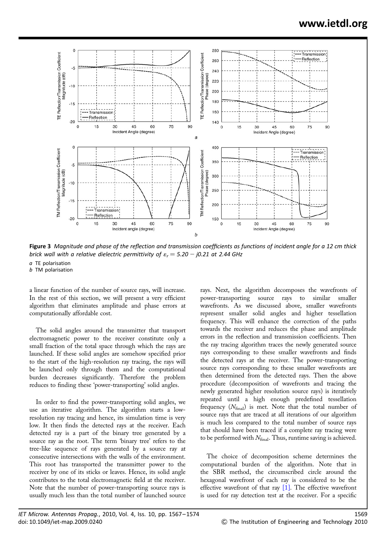

Figure 3 Magnitude and phase of the reflection and transmission coefficients as functions of incident angle for a 12 cm thick brick wall with a relative dielectric permittivity of  $\varepsilon_r = 5.20 - j0.21$  at 2.44 GHz a TE polarisation

b TM polarisation

a linear function of the number of source rays, will increase. In the rest of this section, we will present a very efficient algorithm that eliminates amplitude and phase errors at computationally affordable cost.

The solid angles around the transmitter that transport electromagnetic power to the receiver constitute only a small fraction of the total space through which the rays are launched. If these solid angles are somehow specified prior to the start of the high-resolution ray tracing, the rays will be launched only through them and the computational burden decreases significantly. Therefore the problem reduces to finding these 'power-transporting' solid angles.

In order to find the power-transporting solid angles, we use an iterative algorithm. The algorithm starts a lowresolution ray tracing and hence, its simulation time is very low. It then finds the detected rays at the receiver. Each detected ray is a part of the binary tree generated by a source ray as the root. The term 'binary tree' refers to the tree-like sequence of rays generated by a source ray at consecutive intersections with the walls of the environment. This root has transported the transmitter power to the receiver by one of its sticks or leaves. Hence, its solid angle contributes to the total electromagnetic field at the receiver. Note that the number of power-transporting source rays is usually much less than the total number of launched source rays. Next, the algorithm decomposes the wavefronts of power-transporting source rays to similar smaller wavefronts. As we discussed above, smaller wavefronts represent smaller solid angles and higher tessellation frequency. This will enhance the correction of the paths towards the receiver and reduces the phase and amplitude errors in the reflection and transmission coefficients. Then the ray tracing algorithm traces the newly generated source rays corresponding to these smaller wavefronts and finds the detected rays at the receiver. The power-transporting source rays corresponding to these smaller wavefronts are then determined from the detected rays. Then the above procedure (decomposition of wavefronts and tracing the newly generated higher resolution source rays) is iteratively repeated until a high enough predefined tessellation frequency  $(N_{\text{final}})$  is met. Note that the total number of source rays that are traced at all iterations of our algorithm is much less compared to the total number of source rays that should have been traced if a complete ray tracing were to be performed with  $N_{final}$ . Thus, runtime saving is achieved.

The choice of decomposition scheme determines the computational burden of the algorithm. Note that in the SBR method, the circumscribed circle around the hexagonal wavefront of each ray is considered to be the effective wavefront of that ray [1]. The effective wavefront is used for ray detection test at the receiver. For a specific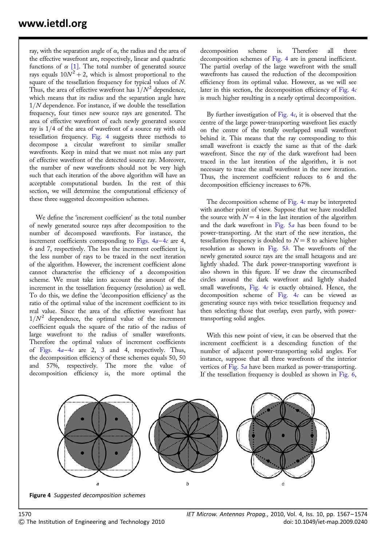ray, with the separation angle of  $\alpha$ , the radius and the area of the effective wavefront are, respectively, linear and quadratic functions of  $\alpha$  [1]. The total number of generated source rays equals  $10N^2 + 2$ , which is almost proportional to the square of the tessellation frequency for typical values of N. Thus, the area of effective wavefront has  $1/N^2$  dependence, which means that its radius and the separation angle have  $1/N$  dependence. For instance, if we double the tessellation frequency, four times new source rays are generated. The area of effective wavefront of each newly generated source ray is 1/4 of the area of wavefront of a source ray with old tessellation frequency. Fig. 4 suggests three methods to decompose a circular wavefront to similar smaller wavefronts. Keep in mind that we must not miss any part of effective wavefront of the detected source ray. Moreover, the number of new wavefronts should not be very high such that each iteration of the above algorithm will have an acceptable computational burden. In the rest of this section, we will determine the computational efficiency of these three suggested decomposition schemes.

We define the 'increment coefficient' as the total number of newly generated source rays after decomposition to the number of decomposed wavefronts. For instance, the increment coefficients corresponding to Figs.  $4a-4c$  are 4, 6 and 7, respectively. The less the increment coefficient is, the less number of rays to be traced in the next iteration of the algorithm. However, the increment coefficient alone cannot characterise the efficiency of a decomposition scheme. We must take into account the amount of the increment in the tessellation frequency (resolution) as well. To do this, we define the 'decomposition efficiency' as the ratio of the optimal value of the increment coefficient to its real value. Since the area of the effective wavefront has  $1/N^2$  dependence, the optimal value of the increment coefficient equals the square of the ratio of the radius of large wavefront to the radius of smaller wavefronts. Therefore the optimal values of increment coefficients of Figs.  $4a-4c$  are 2, 3 and 4, respectively. Thus, the decomposition efficiency of these schemes equals 50, 50 and 57%, respectively. The more the value of decomposition efficiency is, the more optimal the

decomposition scheme is. Therefore all three decomposition schemes of Fig. 4 are in general inefficient. The partial overlap of the large wavefront with the small wavefronts has caused the reduction of the decomposition efficiency from its optimal value. However, as we will see later in this section, the decomposition efficiency of Fig.  $4c$ is much higher resulting in a nearly optimal decomposition.

By further investigation of Fig.  $4c$ , it is observed that the centre of the large power-transporting wavefront lies exactly on the centre of the totally overlapped small wavefront behind it. This means that the ray corresponding to this small wavefront is exactly the same as that of the dark wavefront. Since the ray of the dark wavefront had been traced in the last iteration of the algorithm, it is not necessary to trace the small wavefront in the new iteration. Thus, the increment coefficient reduces to 6 and the decomposition efficiency increases to 67%.

The decomposition scheme of Fig.  $4c$  may be interpreted with another point of view. Suppose that we have modelled the source with  $N = 4$  in the last iteration of the algorithm and the dark wavefront in Fig.  $5a$  has been found to be power-transporting. At the start of the new iteration, the tessellation frequency is doubled to  $N = 8$  to achieve higher resolution as shown in Fig. 5b. The wavefronts of the newly generated source rays are the small hexagons and are lightly shaded. The dark power-transporting wavefront is also shown in this figure. If we draw the circumscribed circles around the dark wavefront and lightly shaded small wavefronts, Fig.  $4c$  is exactly obtained. Hence, the decomposition scheme of Fig. 4c can be viewed as generating source rays with twice tessellation frequency and then selecting those that overlap, even partly, with powertransporting solid angles.

With this new point of view, it can be observed that the increment coefficient is a descending function of the number of adjacent power-transporting solid angles. For instance, suppose that all three wavefronts of the interior vertices of Fig. 5*a* have been marked as power-transporting. If the tessellation frequency is doubled as shown in Fig. 6,



Figure 4 Suggested decomposition schemes

1570 IET Microw. Antennas Propag., 2010, Vol. 4, Iss. 10, pp. 1567– 1574 & The Institution of Engineering and Technology 2010 doi: 10.1049/iet-map.2009.0240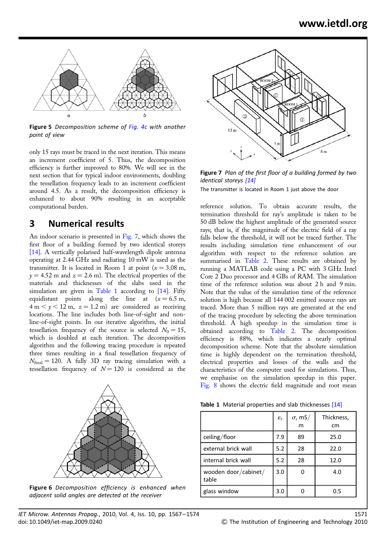

Figure 5 Decomposition scheme of Fig. 4c with another point of view

only 15 rays must be traced in the next iteration. This means an increment coefficient of 5. Thus, the decomposition efficiency is further improved to 80%. We will see in the next section that for typical indoor environments, doubling the tessellation frequency leads to an increment coefficient around 4.5. As a result, the decomposition efficiency is enhanced to about 90% resulting in an acceptable computational burden.

### 3 Numerical results

An indoor scenario is presented in Fig. 7, which shows the first floor of a building formed by two identical storeys [14]. A vertically polarised half-wavelength dipole antenna operating at 2.44 GHz and radiating 10 mW is used as the transmitter. It is located in Room 1 at point ( $x = 3.08$  m,  $y = 4.52$  m and  $z = 2.6$  m). The electrical properties of the materials and thicknesses of the slabs used in the simulation are given in Table 1 according to [14]. Fifty equidistant points along the line at  $(x = 6.5 \text{ m},$  $4 m < y < 12 m$ ,  $z = 1.2 m$ ) are considered as receiving locations. The line includes both line-of-sight and nonline-of-sight points. In our iterative algorithm, the initial tessellation frequency of the source is selected  $N_0 = 15$ , which is doubled at each iteration. The decomposition algorithm and the following tracing procedure is repeated three times resulting in a final tessellation frequency of  $N_{\text{final}} = 120$ . A fully 3D ray tracing simulation with a tessellation frequency of  $N = 120$  is considered as the



Figure 6 Decomposition efficiency is enhanced when adjacent solid angles are detected at the receiver



Figure 7 Plan of the first floor of a building formed by two identical storeys [14]

The transmitter is located in Room 1 just above the door

reference solution. To obtain accurate results, the termination threshold for ray's amplitude is taken to be 50 dB below the highest amplitude of the generated source rays; that is, if the magnitude of the electric field of a ray falls below the threshold, it will not be traced further. The results including simulation time enhancement of our algorithm with respect to the reference solution are summarised in Table 2. These results are obtained by running a MATLAB code using a PC with 3 GHz Intel Core 2 Duo processor and 4 GBs of RAM. The simulation time of the reference solution was about 2 h and 9 min. Note that the value of the simulation time of the reference solution is high because all 144 002 emitted source rays are traced. More than 5 million rays are generated at the end of the tracing procedure by selecting the above termination threshold. A high speedup in the simulation time is obtained according to Table 2. The decomposition efficiency is 88%, which indicates a nearly optimal decomposition scheme. Note that the absolute simulation time is highly dependent on the termination threshold, electrical properties and losses of the walls and the characteristics of the computer used for simulations. Thus, we emphasise on the simulation speedup in this paper. Fig. 8 shows the electric field magnitude and root mean

|  | Table 1 Material properties and slab thicknesses [14] |  |  |
|--|-------------------------------------------------------|--|--|
|--|-------------------------------------------------------|--|--|

|                               | $\varepsilon_{\rm r}$ | $\sigma$ , mS $/$<br>m | Thickness,<br>cm |
|-------------------------------|-----------------------|------------------------|------------------|
| ceiling/floor                 | 7.9                   | 89                     | 25.0             |
| external brick wall           | 5.2                   | 28                     | 22.0             |
| internal brick wall           | 5.2                   | 28                     | 12.0             |
| wooden door/cabinet/<br>table | 3.0                   |                        | 4.0              |
| glass window                  | 3.0                   |                        | 0.5              |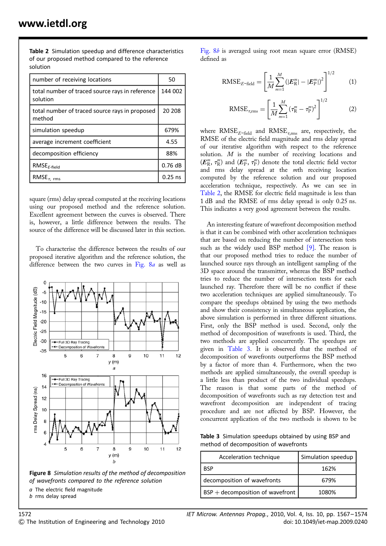Table 2 Simulation speedup and difference characteristics of our proposed method compared to the reference solution

| number of receiving locations                               | 50        |
|-------------------------------------------------------------|-----------|
| total number of traced source rays in reference<br>solution | 144 002   |
| total number of traced source rays in proposed<br>method    | 20 20 8   |
| simulation speedup                                          | 679%      |
| average increment coefficient                               | 4.55      |
| decomposition efficiency                                    | 88%       |
| $RMSEE-field$                                               | 0.76dB    |
| $RMSE_{\tau, rms}$                                          | $0.25$ ns |

square (rms) delay spread computed at the receiving locations using our proposed method and the reference solution. Excellent agreement between the curves is observed. There is, however, a little difference between the results. The source of the difference will be discussed later in this section.

To characterise the difference between the results of our proposed iterative algorithm and the reference solution, the difference between the two curves in Fig. 8a as well as



Figure 8 Simulation results of the method of decomposition of wavefronts compared to the reference solution

 $a$  The electric field magnitude

b rms delay spread

Fig. 8b is averaged using root mean square error (RMSE) defined as

RMSE<sub>E-field</sub> = 
$$
\left[\frac{1}{M} \sum_{m=1}^{M} (|E_{R}^{m}| - |E_{P}^{m}|)^{2}\right]^{1/2}
$$
 (1)

RMSE<sub>7,rms</sub> = 
$$
\left[\frac{1}{M}\sum_{m=1}^{M}(\tau_{R}^{m}-\tau_{P}^{m})^{2}\right]^{1/2}
$$
 (2)

where  $RMSE_{E-field}$  and  $RMSE_{\tau,rms}$  are, respectively, the RMSE of the electric field magnitude and rms delay spread of our iterative algorithm with respect to the reference solution. M is the number of receiving locations and  $(E_{\textrm{R}}^{m}, \, \tau_{\textrm{R}}^{m})$  and  $(E_{\textrm{P}}^{m}, \, \tau_{\textrm{P}}^{m})$  denote the total electric field vector and rms delay spread at the mth receiving location computed by the reference solution and our proposed acceleration technique, respectively. As we can see in Table 2, the RMSE for electric field magnitude is less than 1 dB and the RMSE of rms delay spread is only 0.25 ns. This indicates a very good agreement between the results.

An interesting feature of wavefront decomposition method is that it can be combined with other acceleration techniques that are based on reducing the number of intersection tests such as the widely used BSP method [9]. The reason is that our proposed method tries to reduce the number of launched source rays through an intelligent sampling of the 3D space around the transmitter, whereas the BSP method tries to reduce the number of intersection tests for each launched ray. Therefore there will be no conflict if these two acceleration techniques are applied simultaneously. To compare the speedups obtained by using the two methods and show their consistency in simultaneous application, the above simulation is performed in three different situations. First, only the BSP method is used. Second, only the method of decomposition of wavefronts is used. Third, the two methods are applied concurrently. The speedups are given in Table 3. It is observed that the method of decomposition of wavefronts outperforms the BSP method by a factor of more than 4. Furthermore, when the two methods are applied simultaneously, the overall speedup is a little less than product of the two individual speedups. The reason is that some parts of the method of decomposition of wavefronts such as ray detection test and wavefront decomposition are independent of tracing procedure and are not affected by BSP. However, the concurrent application of the two methods is shown to be

Table 3 Simulation speedups obtained by using BSP and method of decomposition of wavefronts

| Acceleration technique             | Simulation speedup |  |
|------------------------------------|--------------------|--|
| BSP                                | 162%               |  |
| decomposition of wavefronts        | 679%               |  |
| $BSP + decomposition$ of wavefront | 1080%              |  |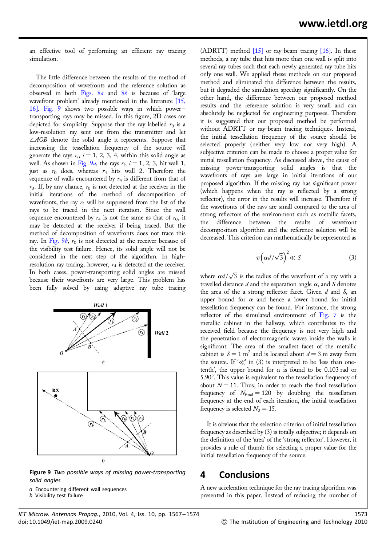an effective tool of performing an efficient ray tracing simulation.

The little difference between the results of the method of decomposition of wavefronts and the reference solution as observed in both Figs.  $8a$  and  $8b$  is because of 'large wavefront problem' already mentioned in the literature [15, 16]. Fig. 9 shows two possible ways in which power– transporting rays may be missed. In this figure, 2D cases are depicted for simplicity. Suppose that the ray labelled  $r_0$  is a low-resolution ray sent out from the transmitter and let  $\angle AOB$  denote the solid angle it represents. Suppose that increasing the tessellation frequency of the source will generate the rays  $r_i$ ,  $i = 1, 2, 3, 4$ , within this solid angle as well. As shown in Fig. 9a, the rays  $r_i$ ,  $i = 1, 2, 3$ , hit wall 1, just as  $r_0$  does, whereas  $r_4$  hits wall 2. Therefore the sequence of walls encountered by  $r_4$  is different from that of  $r_0$ . If, by any chance,  $r_0$  is not detected at the receiver in the initial iterations of the method of decomposition of wavefronts, the ray  $r_4$  will be suppressed from the list of the rays to be traced in the next iteration. Since the wall sequence encountered by  $r_4$  is not the same as that of  $r_0$ , it may be detected at the receiver if being traced. But the method of decomposition of wavefronts does not trace this ray. In Fig.  $9b$ ,  $r_0$  is not detected at the receiver because of the visibility test failure. Hence, its solid angle will not be considered in the next step of the algorithm. In highresolution ray tracing, however,  $r_4$  is detected at the receiver. In both cases, power-transporting solid angles are missed because their wavefronts are very large. This problem has been fully solved by using adaptive ray tube tracing



Figure 9 Two possible ways of missing power-transporting solid angles

a Encountering different wall sequences

b Visibility test failure

(ADRTT) method  $[15]$  or ray-beam tracing  $[16]$ . In these methods, a ray tube that hits more than one wall is split into several ray tubes such that each newly generated ray tube hits only one wall. We applied these methods on our proposed method and eliminated the difference between the results, but it degraded the simulation speedup significantly. On the other hand, the difference between our proposed method results and the reference solution is very small and can absolutely be neglected for engineering purposes. Therefore it is suggested that our proposed method be performed without ADRTT or ray-beam tracing techniques. Instead, the initial tessellation frequency of the source should be selected properly (neither very low nor very high). A subjective criterion can be made to choose a proper value for initial tessellation frequency. As discussed above, the cause of missing power-transporting solid angles is that the wavefronts of rays are large in initial iterations of our proposed algorithm. If the missing ray has significant power (which happens when the ray is reflected by a strong reflector), the error in the results will increase. Therefore if the wavefronts of the rays are small compared to the area of strong reflectors of the environment such as metallic facets, the difference between the results of wavefront decomposition algorithm and the reference solution will be decreased. This criterion can mathematically be represented as

$$
\pi \left(\alpha d/\sqrt{3}\right)^2 \ll S\tag{3}
$$

where  $\alpha d/\sqrt{3}$  is the radius of the wavefront of a ray with a travelled distance  $d$  and the separation angle  $\alpha$ , and  $S$  denotes the area of the a strong reflector facet. Given  $d$  and  $S$ , an upper bound for  $\alpha$  and hence a lower bound for initial tessellation frequency can be found. For instance, the strong reflector of the simulated environment of Fig. 7 is the metallic cabinet in the hallway, which contributes to the received field because the frequency is not very high and the penetration of electromagnetic waves inside the walls is significant. The area of the smallest facet of the metallic cabinet is  $S = 1$  m<sup>2</sup> and is located about  $d = 3$  m away from the source. If  $\ll$  in (3) is interpreted to be 'less than onetenth', the upper bound for  $\alpha$  is found to be 0.103 rad or 5.90°. This value is equivalent to the tessellation frequency of about  $N = 11$ . Thus, in order to reach the final tessellation frequency of  $N_{\text{final}} = 120$  by doubling the tessellation frequency at the end of each iteration, the initial tessellation frequency is selected  $N_0 = 15$ .

It is obvious that the selection criterion of initial tessellation frequency as described by (3) is totally subjective; it depends on the definition of the 'area' of the 'strong reflector'. However, it provides a rule of thumb for selecting a proper value for the initial tessellation frequency of the source.

#### 4 Conclusions

A new acceleration technique for the ray tracing algorithm was presented in this paper. Instead of reducing the number of